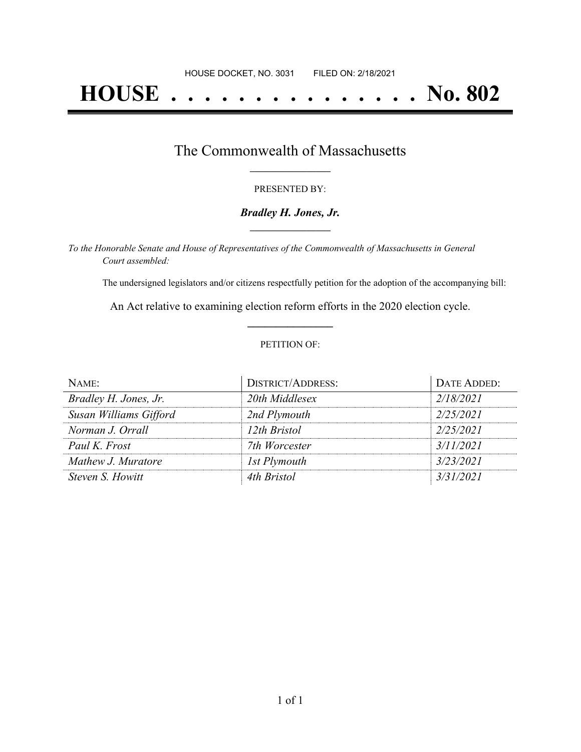# **HOUSE . . . . . . . . . . . . . . . No. 802**

### The Commonwealth of Massachusetts **\_\_\_\_\_\_\_\_\_\_\_\_\_\_\_\_\_**

#### PRESENTED BY:

#### *Bradley H. Jones, Jr.* **\_\_\_\_\_\_\_\_\_\_\_\_\_\_\_\_\_**

*To the Honorable Senate and House of Representatives of the Commonwealth of Massachusetts in General Court assembled:*

The undersigned legislators and/or citizens respectfully petition for the adoption of the accompanying bill:

An Act relative to examining election reform efforts in the 2020 election cycle. **\_\_\_\_\_\_\_\_\_\_\_\_\_\_\_**

#### PETITION OF:

| $N$ AME:               | <b>DISTRICT/ADDRESS:</b> | DATE ADDED: |
|------------------------|--------------------------|-------------|
| Bradley H. Jones, Jr.  | 20th Middlesex           | 2/18/2021   |
| Susan Williams Gifford | 2nd Plymouth             | 2/25/2021   |
| Norman J. Orrall       | 12th Bristol             | 2/25/2021   |
| Paul K. Frost          | 7th Worcester            | 3/11/2021   |
| Mathew J. Muratore     | 1st Plymouth             | 3/23/2021   |
| Steven S. Howitt       | 4th Bristol              | 3/31/2021   |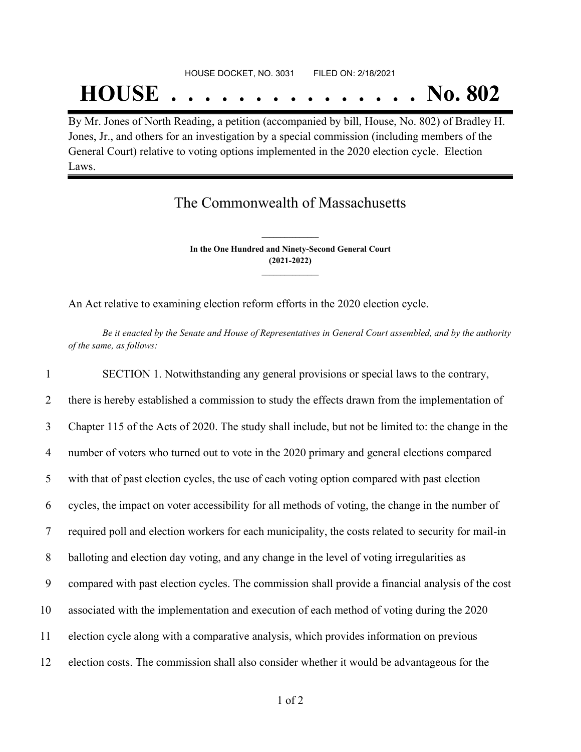# HOUSE DOCKET, NO. 3031 FILED ON: 2/18/2021 **HOUSE . . . . . . . . . . . . . . . No. 802**

By Mr. Jones of North Reading, a petition (accompanied by bill, House, No. 802) of Bradley H. Jones, Jr., and others for an investigation by a special commission (including members of the General Court) relative to voting options implemented in the 2020 election cycle. Election Laws.

## The Commonwealth of Massachusetts

**In the One Hundred and Ninety-Second General Court (2021-2022) \_\_\_\_\_\_\_\_\_\_\_\_\_\_\_**

**\_\_\_\_\_\_\_\_\_\_\_\_\_\_\_**

An Act relative to examining election reform efforts in the 2020 election cycle.

Be it enacted by the Senate and House of Representatives in General Court assembled, and by the authority *of the same, as follows:*

 SECTION 1. Notwithstanding any general provisions or special laws to the contrary, there is hereby established a commission to study the effects drawn from the implementation of Chapter 115 of the Acts of 2020. The study shall include, but not be limited to: the change in the number of voters who turned out to vote in the 2020 primary and general elections compared with that of past election cycles, the use of each voting option compared with past election cycles, the impact on voter accessibility for all methods of voting, the change in the number of required poll and election workers for each municipality, the costs related to security for mail-in balloting and election day voting, and any change in the level of voting irregularities as compared with past election cycles. The commission shall provide a financial analysis of the cost associated with the implementation and execution of each method of voting during the 2020 election cycle along with a comparative analysis, which provides information on previous election costs. The commission shall also consider whether it would be advantageous for the